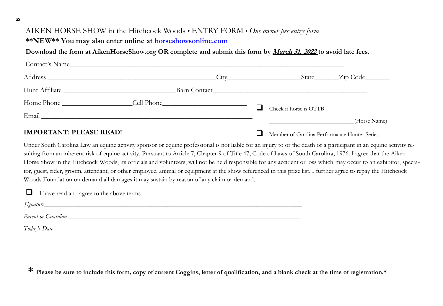## AIKEN HORSE SHOW in the Hitchcock Woods • ENTRY FORM • *One owner per entry form*

**\*\*NEW\*\* You may also enter online at horseshowsonline.com**

## **Download the form at AikenHorseShow.org OR complete and submit this form by March 31, 2022 to avoid late fees.**

| Contact's Name                 |  |                                              |                                  |
|--------------------------------|--|----------------------------------------------|----------------------------------|
|                                |  |                                              | $\text{State}$ $\text{Zip Code}$ |
|                                |  |                                              |                                  |
|                                |  | Check if horse is OTTB                       |                                  |
|                                |  |                                              | (Horse Name)                     |
| <b>IMPORTANT: PLEASE READ!</b> |  | Member of Carolina Performance Hunter Series |                                  |

Under South Carolina Law an equine activity sponsor or equine professional is not liable for an injury to or the death of a participant in an equine activity resulting from an inherent risk of equine activity. Pursuant to Article 7, Chapter 9 of Title 47, Code of Laws of South Carolina, 1976. I agree that the Aiken Horse Show in the Hitchcock Woods, its officials and volunteers, will not be held responsible for any accident or loss which may occur to an exhibitor, spectator, guest, rider, groom, attendant, or other employee, animal or equipment at the show referenced in this prize list. I further agree to repay the Hitchcock Woods Foundation on demand all damages it may sustain by reason of any claim or demand.

| I have read and agree to the above terms                                                                                                                                                                                       |  |
|--------------------------------------------------------------------------------------------------------------------------------------------------------------------------------------------------------------------------------|--|
| Signature Signature                                                                                                                                                                                                            |  |
| Parent or Guardian provided by the contract of the contract of the contract of the contract of the contract of the contract of the contract of the contract of the contract of the contract of the contract of the contract of |  |
|                                                                                                                                                                                                                                |  |

**\* Please be sure to include this form, copy of current Coggins, letter of qualification, and a blank check at the time of registration.\***